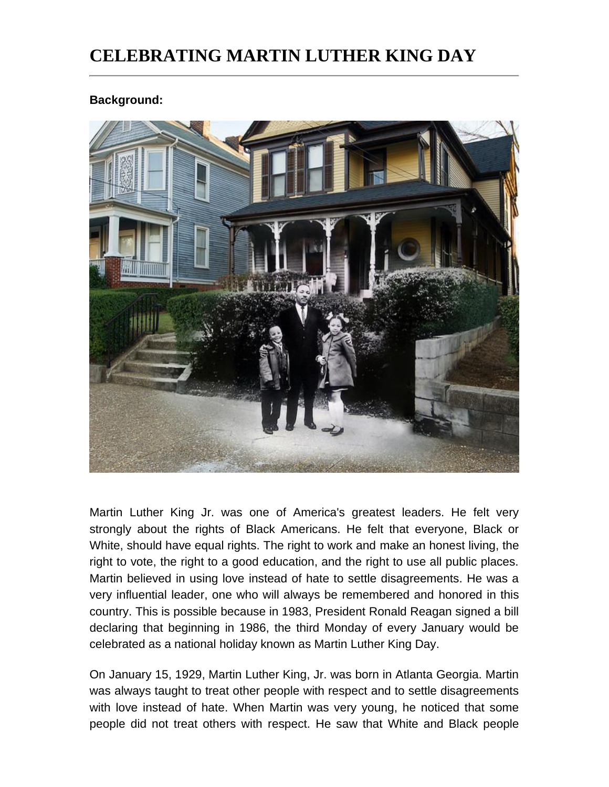## **CELEBRATING MARTIN LUTHER KING DAY**

## **Background:**



Martin Luther King Jr. was one of America's greatest leaders. He felt very strongly about the rights of Black Americans. He felt that everyone, Black or White, should have equal rights. The right to work and make an honest living, the right to vote, the right to a good education, and the right to use all public places. Martin believed in using love instead of hate to settle disagreements. He was a very influential leader, one who will always be remembered and honored in this country. This is possible because in 1983, President Ronald Reagan signed a bill declaring that beginning in 1986, the third Monday of every January would be celebrated as a national holiday known as Martin Luther King Day.

On January 15, 1929, Martin Luther King, Jr. was born in Atlanta Georgia. Martin was always taught to treat other people with respect and to settle disagreements with love instead of hate. When Martin was very young, he noticed that some people did not treat others with respect. He saw that White and Black people